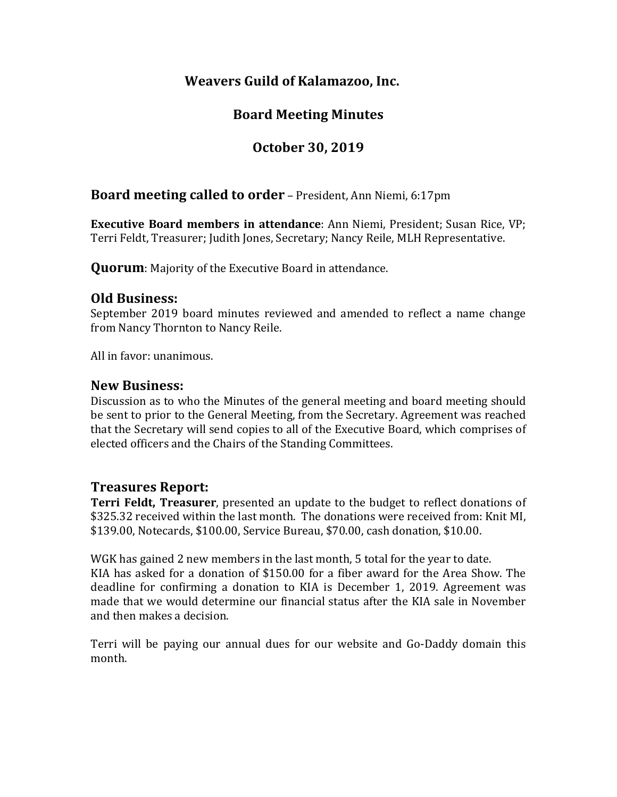# **Weavers Guild of Kalamazoo, Inc.**

# **Board Meeting Minutes**

# **October 30, 2019**

## **Board meeting called to order** – President, Ann Niemi, 6:17pm

**Executive Board members in attendance:** Ann Niemi, President; Susan Rice, VP; Terri Feldt, Treasurer; Judith Jones, Secretary; Nancy Reile, MLH Representative.

**Quorum**: Majority of the Executive Board in attendance.

### **Old Business:**

September 2019 board minutes reviewed and amended to reflect a name change from Nancy Thornton to Nancy Reile.

All in favor: unanimous.

### **New Business:**

Discussion as to who the Minutes of the general meeting and board meeting should be sent to prior to the General Meeting, from the Secretary. Agreement was reached that the Secretary will send copies to all of the Executive Board, which comprises of elected officers and the Chairs of the Standing Committees.

### **Treasures Report:**

**Terri Feldt, Treasurer**, presented an update to the budget to reflect donations of \$325.32 received within the last month. The donations were received from: Knit MI, \$139.00, Notecards, \$100.00, Service Bureau, \$70.00, cash donation, \$10.00.

WGK has gained 2 new members in the last month, 5 total for the year to date. KIA has asked for a donation of  $$150.00$  for a fiber award for the Area Show. The deadline for confirming a donation to KIA is December 1, 2019. Agreement was made that we would determine our financial status after the KIA sale in November and then makes a decision.

Terri will be paying our annual dues for our website and Go-Daddy domain this month.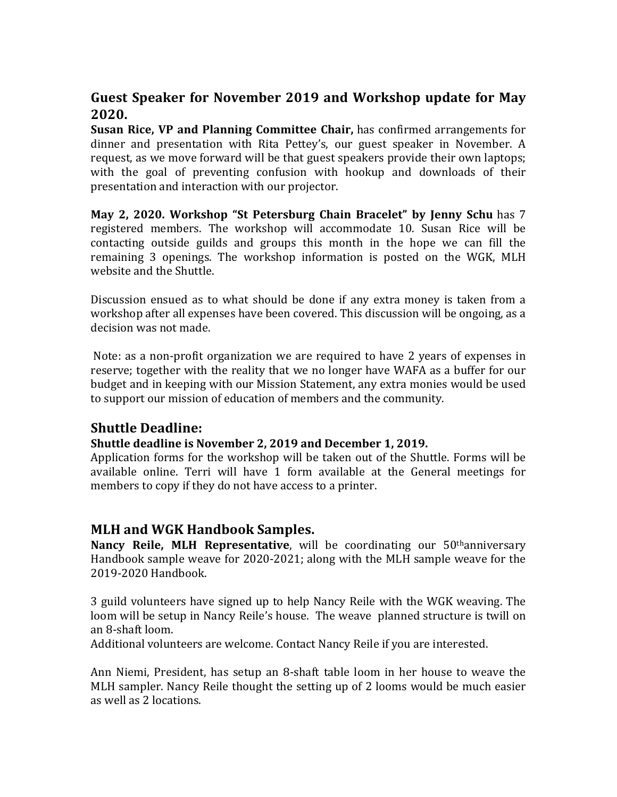# **Guest Speaker for November 2019 and Workshop update for May 2020.**

**Susan Rice, VP and Planning Committee Chair,** has confirmed arrangements for dinner and presentation with Rita Pettey's, our guest speaker in November. A request, as we move forward will be that guest speakers provide their own laptops; with the goal of preventing confusion with hookup and downloads of their presentation and interaction with our projector.

**May 2, 2020. Workshop "St Petersburg Chain Bracelet" by Jenny Schu** has 7 registered members. The workshop will accommodate 10. Susan Rice will be contacting outside guilds and groups this month in the hope we can fill the remaining 3 openings. The workshop information is posted on the WGK, MLH website and the Shuttle.

Discussion ensued as to what should be done if any extra money is taken from a workshop after all expenses have been covered. This discussion will be ongoing, as a decision was not made.

Note: as a non-profit organization we are required to have 2 years of expenses in reserve; together with the reality that we no longer have WAFA as a buffer for our budget and in keeping with our Mission Statement, any extra monies would be used to support our mission of education of members and the community.

## **Shuttle Deadline:**

#### Shuttle deadline is November 2, 2019 and December 1, 2019.

Application forms for the workshop will be taken out of the Shuttle. Forms will be available online. Terri will have 1 form available at the General meetings for members to copy if they do not have access to a printer.

## **MLH and WGK Handbook Samples.**

**Nancy Reile, MLH Representative**, will be coordinating our 50<sup>th</sup>anniversary Handbook sample weave for 2020-2021; along with the MLH sample weave for the 2019-2020 Handbook.

3 guild volunteers have signed up to help Nancy Reile with the WGK weaving. The loom will be setup in Nancy Reile's house. The weave planned structure is twill on an 8-shaft loom.

Additional volunteers are welcome. Contact Nancy Reile if you are interested.

Ann Niemi, President, has setup an 8-shaft table loom in her house to weave the MLH sampler. Nancy Reile thought the setting up of 2 looms would be much easier as well as 2 locations.